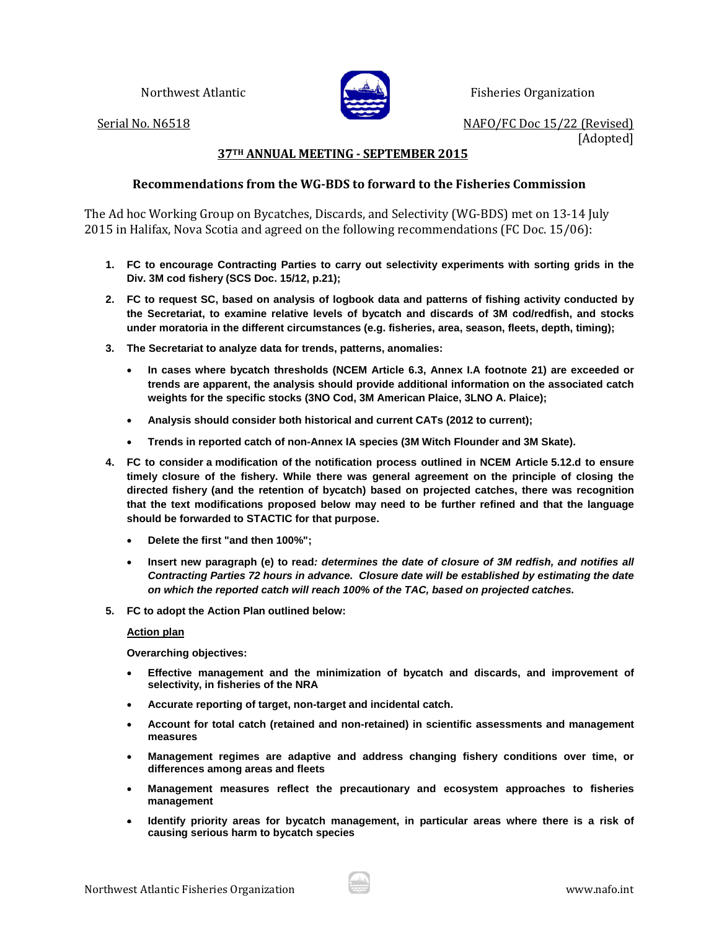

Northwest Atlantic **Fisheries Organization** 

Serial No. N6518 NAFO/FC Doc 15/22 (Revised) [Adopted]

## **37TH ANNUAL MEETING - SEPTEMBER 2015**

## **Recommendations from the WG-BDS to forward to the Fisheries Commission**

The Ad hoc Working Group on Bycatches, Discards, and Selectivity (WG-BDS) met on 13-14 July 2015 in Halifax, Nova Scotia and agreed on the following recommendations (FC Doc. 15/06):

- **1. FC to encourage Contracting Parties to carry out selectivity experiments with sorting grids in the Div. 3M cod fishery (SCS Doc. 15/12, p.21);**
- **2. FC to request SC, based on analysis of logbook data and patterns of fishing activity conducted by the Secretariat, to examine relative levels of bycatch and discards of 3M cod/redfish, and stocks under moratoria in the different circumstances (e.g. fisheries, area, season, fleets, depth, timing);**
- **3. The Secretariat to analyze data for trends, patterns, anomalies:**
	- **In cases where bycatch thresholds (NCEM Article 6.3, Annex I.A footnote 21) are exceeded or trends are apparent, the analysis should provide additional information on the associated catch weights for the specific stocks (3NO Cod, 3M American Plaice, 3LNO A. Plaice);**
	- **Analysis should consider both historical and current CATs (2012 to current);**
	- **Trends in reported catch of non-Annex IA species (3M Witch Flounder and 3M Skate).**
- **4. FC to consider a modification of the notification process outlined in NCEM Article 5.12.d to ensure timely closure of the fishery. While there was general agreement on the principle of closing the directed fishery (and the retention of bycatch) based on projected catches, there was recognition that the text modifications proposed below may need to be further refined and that the language should be forwarded to STACTIC for that purpose.** 
	- **Delete the first "and then 100%";**
	- **Insert new paragraph (e) to read***: determines the date of closure of 3M redfish, and notifies all Contracting Parties 72 hours in advance. Closure date will be established by estimating the date on which the reported catch will reach 100% of the TAC, based on projected catches.*
- **5. FC to adopt the Action Plan outlined below:**

## **Action plan**

**Overarching objectives:**

- **Effective management and the minimization of bycatch and discards, and improvement of selectivity, in fisheries of the NRA**
- **Accurate reporting of target, non-target and incidental catch.**
- **Account for total catch (retained and non-retained) in scientific assessments and management measures**
- **Management regimes are adaptive and address changing fishery conditions over time, or differences among areas and fleets**
- **Management measures reflect the precautionary and ecosystem approaches to fisheries management**
- **Identify priority areas for bycatch management, in particular areas where there is a risk of causing serious harm to bycatch species**